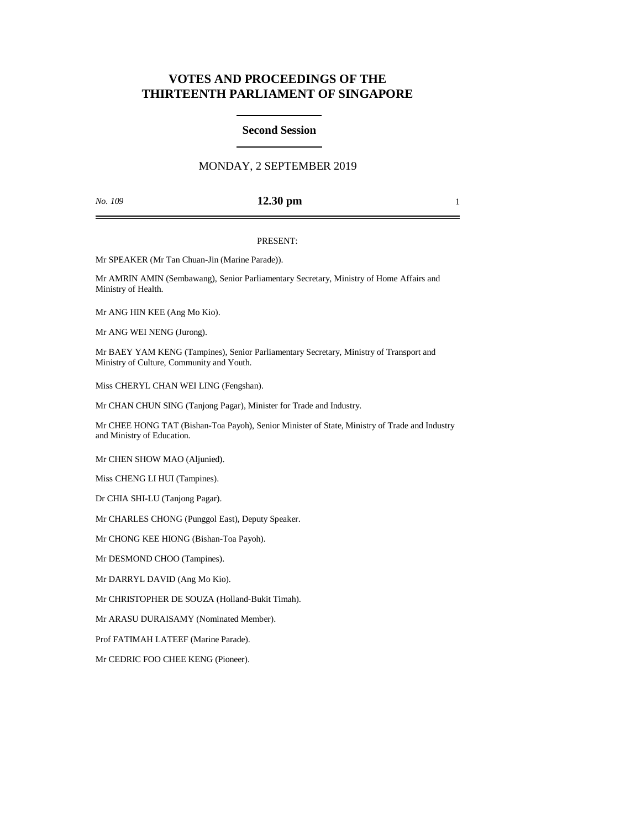# **VOTES AND PROCEEDINGS OF THE THIRTEENTH PARLIAMENT OF SINGAPORE**

## **Second Session**

## MONDAY, 2 SEPTEMBER 2019

### *No. 109* **12.30 pm** 1

#### PRESENT:

Mr SPEAKER (Mr Tan Chuan-Jin (Marine Parade)).

Mr AMRIN AMIN (Sembawang), Senior Parliamentary Secretary, Ministry of Home Affairs and Ministry of Health.

Mr ANG HIN KEE (Ang Mo Kio).

Mr ANG WEI NENG (Jurong).

Mr BAEY YAM KENG (Tampines), Senior Parliamentary Secretary, Ministry of Transport and Ministry of Culture, Community and Youth.

Miss CHERYL CHAN WEI LING (Fengshan).

Mr CHAN CHUN SING (Tanjong Pagar), Minister for Trade and Industry.

Mr CHEE HONG TAT (Bishan-Toa Payoh), Senior Minister of State, Ministry of Trade and Industry and Ministry of Education.

Mr CHEN SHOW MAO (Aljunied).

Miss CHENG LI HUI (Tampines).

Dr CHIA SHI-LU (Tanjong Pagar).

Mr CHARLES CHONG (Punggol East), Deputy Speaker.

Mr CHONG KEE HIONG (Bishan-Toa Payoh).

Mr DESMOND CHOO (Tampines).

Mr DARRYL DAVID (Ang Mo Kio).

Mr CHRISTOPHER DE SOUZA (Holland-Bukit Timah).

Mr ARASU DURAISAMY (Nominated Member).

Prof FATIMAH LATEEF (Marine Parade).

Mr CEDRIC FOO CHEE KENG (Pioneer).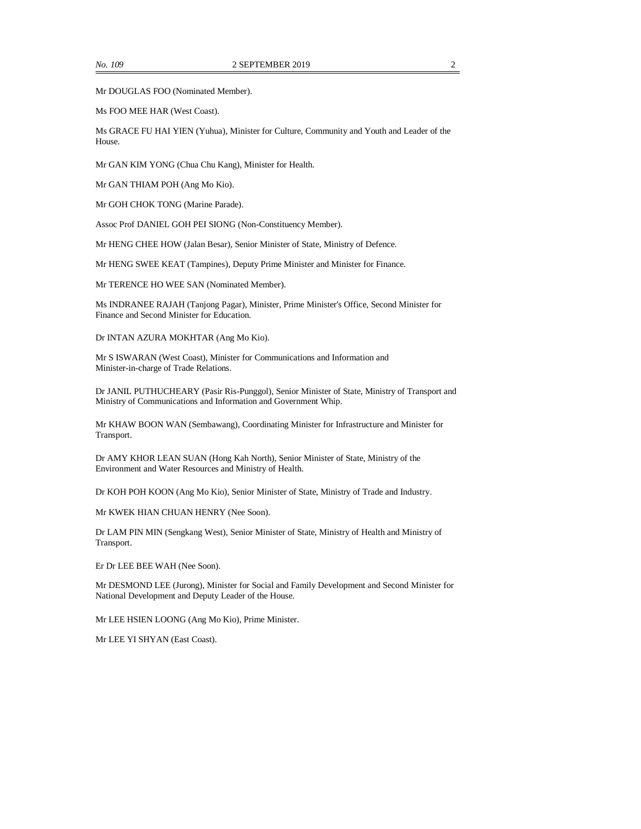Mr DOUGLAS FOO (Nominated Member).

Ms FOO MEE HAR (West Coast).

Ms GRACE FU HAI YIEN (Yuhua), Minister for Culture, Community and Youth and Leader of the House.

Mr GAN KIM YONG (Chua Chu Kang), Minister for Health.

Mr GAN THIAM POH (Ang Mo Kio).

Mr GOH CHOK TONG (Marine Parade).

Assoc Prof DANIEL GOH PEI SIONG (Non-Constituency Member).

Mr HENG CHEE HOW (Jalan Besar), Senior Minister of State, Ministry of Defence.

Mr HENG SWEE KEAT (Tampines), Deputy Prime Minister and Minister for Finance.

Mr TERENCE HO WEE SAN (Nominated Member).

Ms INDRANEE RAJAH (Tanjong Pagar), Minister, Prime Minister's Office, Second Minister for Finance and Second Minister for Education.

Dr INTAN AZURA MOKHTAR (Ang Mo Kio).

Mr S ISWARAN (West Coast), Minister for Communications and Information and Minister-in-charge of Trade Relations.

Dr JANIL PUTHUCHEARY (Pasir Ris-Punggol), Senior Minister of State, Ministry of Transport and Ministry of Communications and Information and Government Whip.

Mr KHAW BOON WAN (Sembawang), Coordinating Minister for Infrastructure and Minister for Transport.

Dr AMY KHOR LEAN SUAN (Hong Kah North), Senior Minister of State, Ministry of the Environment and Water Resources and Ministry of Health.

Dr KOH POH KOON (Ang Mo Kio), Senior Minister of State, Ministry of Trade and Industry.

Mr KWEK HIAN CHUAN HENRY (Nee Soon).

Dr LAM PIN MIN (Sengkang West), Senior Minister of State, Ministry of Health and Ministry of Transport.

Er Dr LEE BEE WAH (Nee Soon).

Mr DESMOND LEE (Jurong), Minister for Social and Family Development and Second Minister for National Development and Deputy Leader of the House.

Mr LEE HSIEN LOONG (Ang Mo Kio), Prime Minister.

Mr LEE YI SHYAN (East Coast).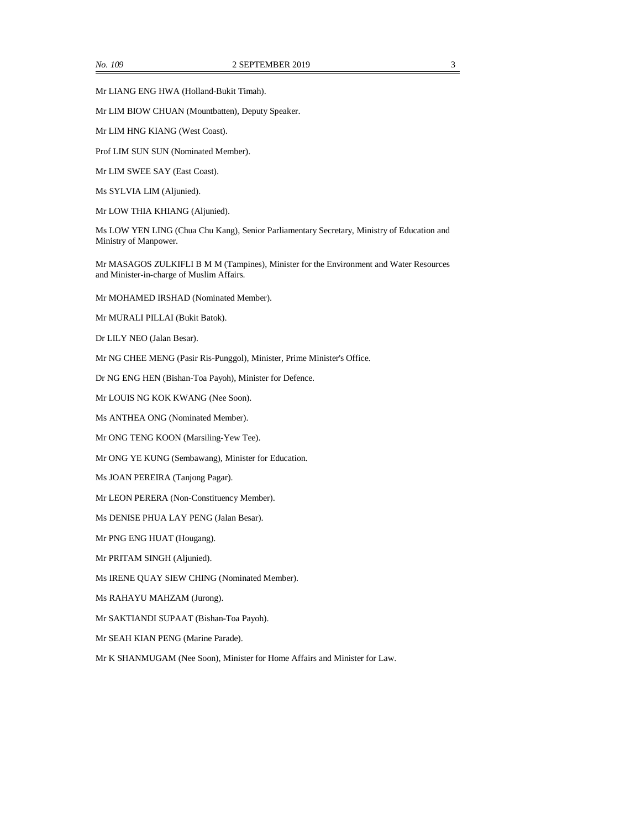Mr LIANG ENG HWA (Holland-Bukit Timah).

Mr LIM BIOW CHUAN (Mountbatten), Deputy Speaker.

Mr LIM HNG KIANG (West Coast).

Prof LIM SUN SUN (Nominated Member).

Mr LIM SWEE SAY (East Coast).

Ms SYLVIA LIM (Aljunied).

Mr LOW THIA KHIANG (Aljunied).

Ms LOW YEN LING (Chua Chu Kang), Senior Parliamentary Secretary, Ministry of Education and Ministry of Manpower.

Mr MASAGOS ZULKIFLI B M M (Tampines), Minister for the Environment and Water Resources and Minister-in-charge of Muslim Affairs.

Mr MOHAMED IRSHAD (Nominated Member).

Mr MURALI PILLAI (Bukit Batok).

Dr LILY NEO (Jalan Besar).

Mr NG CHEE MENG (Pasir Ris-Punggol), Minister, Prime Minister's Office.

Dr NG ENG HEN (Bishan-Toa Payoh), Minister for Defence.

Mr LOUIS NG KOK KWANG (Nee Soon).

Ms ANTHEA ONG (Nominated Member).

Mr ONG TENG KOON (Marsiling-Yew Tee).

Mr ONG YE KUNG (Sembawang), Minister for Education.

Ms JOAN PEREIRA (Tanjong Pagar).

Mr LEON PERERA (Non-Constituency Member).

Ms DENISE PHUA LAY PENG (Jalan Besar).

Mr PNG ENG HUAT (Hougang).

Mr PRITAM SINGH (Aljunied).

Ms IRENE QUAY SIEW CHING (Nominated Member).

Ms RAHAYU MAHZAM (Jurong).

Mr SAKTIANDI SUPAAT (Bishan-Toa Payoh).

Mr SEAH KIAN PENG (Marine Parade).

Mr K SHANMUGAM (Nee Soon), Minister for Home Affairs and Minister for Law.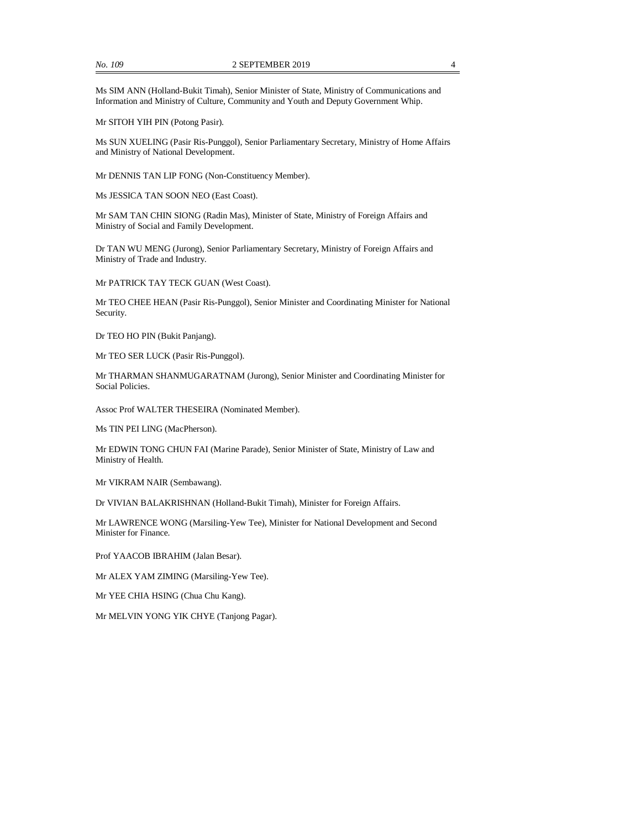Ms SIM ANN (Holland-Bukit Timah), Senior Minister of State, Ministry of Communications and Information and Ministry of Culture, Community and Youth and Deputy Government Whip.

Mr SITOH YIH PIN (Potong Pasir).

Ms SUN XUELING (Pasir Ris-Punggol), Senior Parliamentary Secretary, Ministry of Home Affairs and Ministry of National Development.

Mr DENNIS TAN LIP FONG (Non-Constituency Member).

Ms JESSICA TAN SOON NEO (East Coast).

Mr SAM TAN CHIN SIONG (Radin Mas), Minister of State, Ministry of Foreign Affairs and Ministry of Social and Family Development.

Dr TAN WU MENG (Jurong), Senior Parliamentary Secretary, Ministry of Foreign Affairs and Ministry of Trade and Industry.

Mr PATRICK TAY TECK GUAN (West Coast).

Mr TEO CHEE HEAN (Pasir Ris-Punggol), Senior Minister and Coordinating Minister for National Security.

Dr TEO HO PIN (Bukit Panjang).

Mr TEO SER LUCK (Pasir Ris-Punggol).

Mr THARMAN SHANMUGARATNAM (Jurong), Senior Minister and Coordinating Minister for Social Policies.

Assoc Prof WALTER THESEIRA (Nominated Member).

Ms TIN PEI LING (MacPherson).

Mr EDWIN TONG CHUN FAI (Marine Parade), Senior Minister of State, Ministry of Law and Ministry of Health.

Mr VIKRAM NAIR (Sembawang).

Dr VIVIAN BALAKRISHNAN (Holland-Bukit Timah), Minister for Foreign Affairs.

Mr LAWRENCE WONG (Marsiling-Yew Tee), Minister for National Development and Second Minister for Finance.

Prof YAACOB IBRAHIM (Jalan Besar).

Mr ALEX YAM ZIMING (Marsiling-Yew Tee).

Mr YEE CHIA HSING (Chua Chu Kang).

Mr MELVIN YONG YIK CHYE (Tanjong Pagar).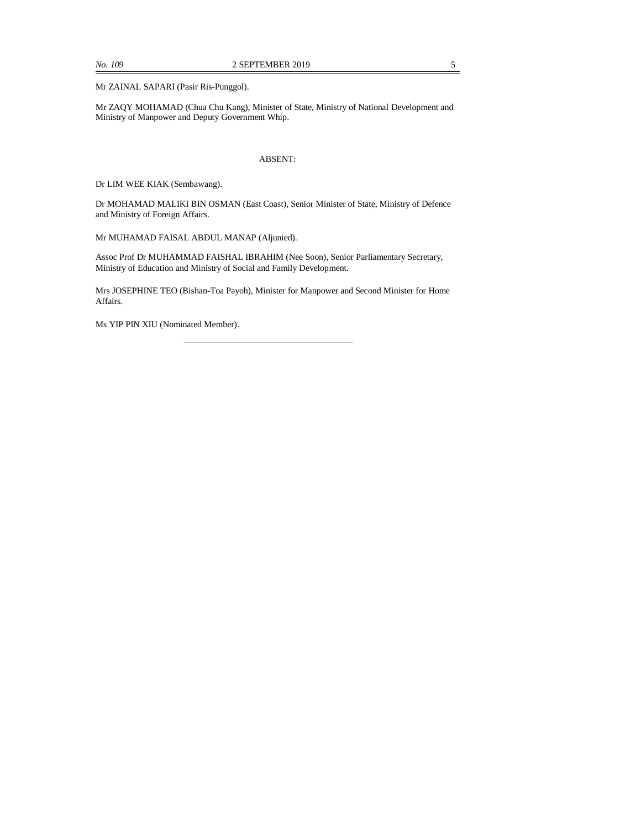Mr ZAINAL SAPARI (Pasir Ris-Punggol).

Mr ZAQY MOHAMAD (Chua Chu Kang), Minister of State, Ministry of National Development and Ministry of Manpower and Deputy Government Whip.

#### ABSENT:

Dr LIM WEE KIAK (Sembawang).

Dr MOHAMAD MALIKI BIN OSMAN (East Coast), Senior Minister of State, Ministry of Defence and Ministry of Foreign Affairs.

Mr MUHAMAD FAISAL ABDUL MANAP (Aljunied).

Assoc Prof Dr MUHAMMAD FAISHAL IBRAHIM (Nee Soon), Senior Parliamentary Secretary, Ministry of Education and Ministry of Social and Family Development.

Mrs JOSEPHINE TEO (Bishan-Toa Payoh), Minister for Manpower and Second Minister for Home Affairs.

Ms YIP PIN XIU (Nominated Member).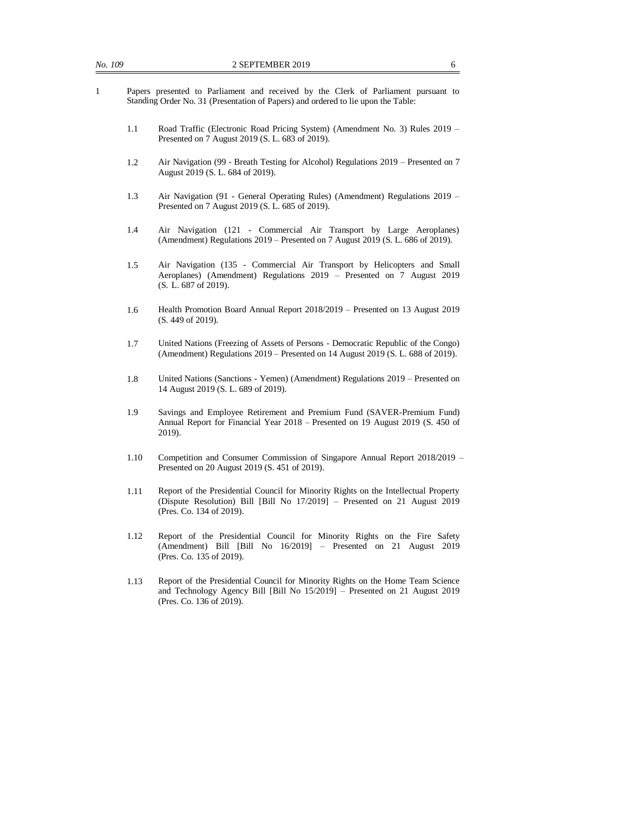- 1 Papers presented to Parliament and received by the Clerk of Parliament pursuant to Standing Order No. 31 (Presentation of Papers) and ordered to lie upon the Table:
	- 1.1 Road Traffic (Electronic Road Pricing System) (Amendment No. 3) Rules 2019 Presented on 7 August 2019 (S. L. 683 of 2019).
	- 1.2 Air Navigation (99 Breath Testing for Alcohol) Regulations 2019 Presented on 7 August 2019 (S. L. 684 of 2019).
	- 1.3 Air Navigation (91 General Operating Rules) (Amendment) Regulations 2019 Presented on 7 August 2019 (S. L. 685 of 2019).
	- 1.4 Air Navigation (121 Commercial Air Transport by Large Aeroplanes) (Amendment) Regulations 2019 – Presented on 7 August 2019 (S. L. 686 of 2019).
	- 1.5 Air Navigation (135 Commercial Air Transport by Helicopters and Small Aeroplanes) (Amendment) Regulations 2019 – Presented on 7 August 2019 (S. L. 687 of 2019).
	- 1.6 Health Promotion Board Annual Report 2018/2019 Presented on 13 August 2019 (S. 449 of 2019).
	- 1.7 United Nations (Freezing of Assets of Persons Democratic Republic of the Congo) (Amendment) Regulations 2019 – Presented on 14 August 2019 (S. L. 688 of 2019).
	- 1.8 United Nations (Sanctions Yemen) (Amendment) Regulations 2019 Presented on 14 August 2019 (S. L. 689 of 2019).
	- 1.9 Savings and Employee Retirement and Premium Fund (SAVER-Premium Fund) Annual Report for Financial Year 2018 – Presented on 19 August 2019 (S. 450 of 2019).
	- 1.10 Competition and Consumer Commission of Singapore Annual Report 2018/2019 Presented on 20 August 2019 (S. 451 of 2019).
	- 1.11 Report of the Presidential Council for Minority Rights on the Intellectual Property (Dispute Resolution) Bill [Bill No 17/2019] – Presented on 21 August 2019 (Pres. Co. 134 of 2019).
	- 1.12 Report of the Presidential Council for Minority Rights on the Fire Safety (Amendment) Bill [Bill No 16/2019] – Presented on 21 August 2019 (Pres. Co. 135 of 2019).
	- 1.13 Report of the Presidential Council for Minority Rights on the Home Team Science and Technology Agency Bill [Bill No 15/2019] – Presented on 21 August 2019 (Pres. Co. 136 of 2019).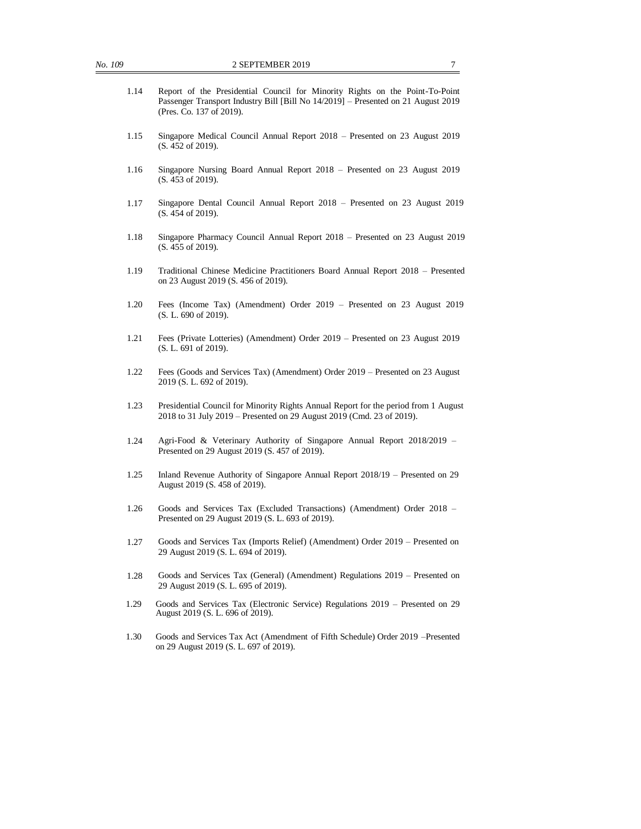- 1.14 Report of the Presidential Council for Minority Rights on the Point-To-Point Passenger Transport Industry Bill [Bill No 14/2019] – Presented on 21 August 2019 (Pres. Co. 137 of 2019).
- 1.15 Singapore Medical Council Annual Report 2018 Presented on 23 August 2019 (S. 452 of 2019).
- 1.16 Singapore Nursing Board Annual Report 2018 Presented on 23 August 2019 (S. 453 of 2019).
- 1.17 Singapore Dental Council Annual Report 2018 Presented on 23 August 2019 (S. 454 of 2019).
- 1.18 Singapore Pharmacy Council Annual Report 2018 Presented on 23 August 2019 (S. 455 of 2019).
- 1.19 Traditional Chinese Medicine Practitioners Board Annual Report 2018 Presented on 23 August 2019 (S. 456 of 2019).
- 1.20 Fees (Income Tax) (Amendment) Order 2019 Presented on 23 August 2019 (S. L. 690 of 2019).
- 1.21 Fees (Private Lotteries) (Amendment) Order 2019 Presented on 23 August 2019 (S. L. 691 of 2019).
- 1.22 Fees (Goods and Services Tax) (Amendment) Order 2019 Presented on 23 August 2019 (S. L. 692 of 2019).
- 1.23 Presidential Council for Minority Rights Annual Report for the period from 1 August 2018 to 31 July 2019 – Presented on 29 August 2019 (Cmd. 23 of 2019).
- 1.24 Agri-Food & Veterinary Authority of Singapore Annual Report 2018/2019 Presented on 29 August 2019 (S. 457 of 2019).
- 1.25 Inland Revenue Authority of Singapore Annual Report 2018/19 Presented on 29 August 2019 (S. 458 of 2019).
- 1.26 Goods and Services Tax (Excluded Transactions) (Amendment) Order 2018 Presented on 29 August 2019 (S. L. 693 of 2019).
- 1.27 Goods and Services Tax (Imports Relief) (Amendment) Order 2019 Presented on 29 August 2019 (S. L. 694 of 2019).
- 1.28 Goods and Services Tax (General) (Amendment) Regulations 2019 Presented on 29 August 2019 (S. L. 695 of 2019).
- 1.29 Goods and Services Tax (Electronic Service) Regulations 2019 Presented on 29 August 2019 (S. L. 696 of 2019).
- 1.30 Goods and Services Tax Act (Amendment of Fifth Schedule) Order 2019 –Presented on 29 August 2019 (S. L. 697 of 2019).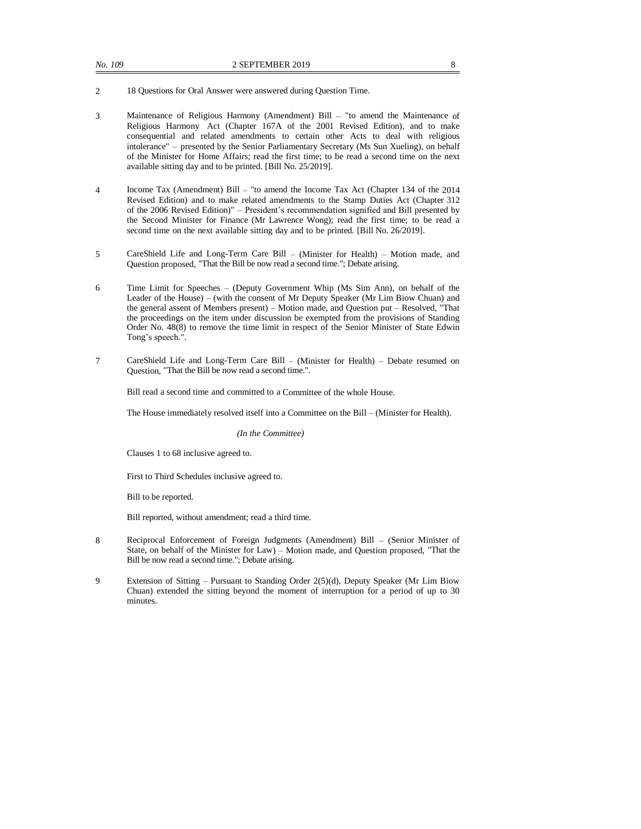- 2 18 Questions for Oral Answer were answered during Question Time.
- 3 Maintenance of Religious Harmony (Amendment) Bill "to amend the Maintenance of Religious Harmony Act (Chapter 167A of the 2001 Revised Edition), and to make consequential and related amendments to certain other Acts to deal with religious intolerance" – presented by the Senior Parliamentary Secretary (Ms Sun Xueling), on behalf of the Minister for Home Affairs; read the first time; to be read a second time on the next available sitting day and to be printed. [Bill No. 25/2019].
- 4 Income Tax (Amendment) Bill "to amend the Income Tax Act (Chapter 134 of the 2014 Revised Edition) and to make related amendments to the Stamp Duties Act (Chapter 312 of the 2006 Revised Edition)" – President's recommendation signified and Bill presented by the Second Minister for Finance (Mr Lawrence Wong); read the first time; to be read a second time on the next available sitting day and to be printed. [Bill No. 26/2019].
- 5 CareShield Life and Long-Term Care Bill (Minister for Health) Motion made, and Question proposed, "That the Bill be now read a second time."; Debate arising.
- 6 Time Limit for Speeches (Deputy Government Whip (Ms Sim Ann), on behalf of the Leader of the House) – (with the consent of Mr Deputy Speaker (Mr Lim Biow Chuan) and the general assent of Members present) – Motion made, and Question put – Resolved, "That the proceedings on the item under discussion be exempted from the provisions of Standing Order No. 48(8) to remove the time limit in respect of the Senior Minister of State Edwin Tong's speech.".
- 7 CareShield Life and Long-Term Care Bill (Minister for Health) Debate resumed on Question, "That the Bill be now read a second time.".

Bill read a second time and committed to a Committee of the whole House.

The House immediately resolved itself into a Committee on the Bill – (Minister for Health).

*(In the Committee)*

Clauses 1 to 68 inclusive agreed to.

First to Third Schedules inclusive agreed to.

Bill to be reported.

Bill reported, without amendment; read a third time.

- 8 Reciprocal Enforcement of Foreign Judgments (Amendment) Bill (Senior Minister of State, on behalf of the Minister for Law) – Motion made, and Question proposed, "That the Bill be now read a second time."; Debate arising.
- 9 Extension of Sitting Pursuant to Standing Order 2(5)(d), Deputy Speaker (Mr Lim Biow Chuan) extended the sitting beyond the moment of interruption for a period of up to 30 minutes.